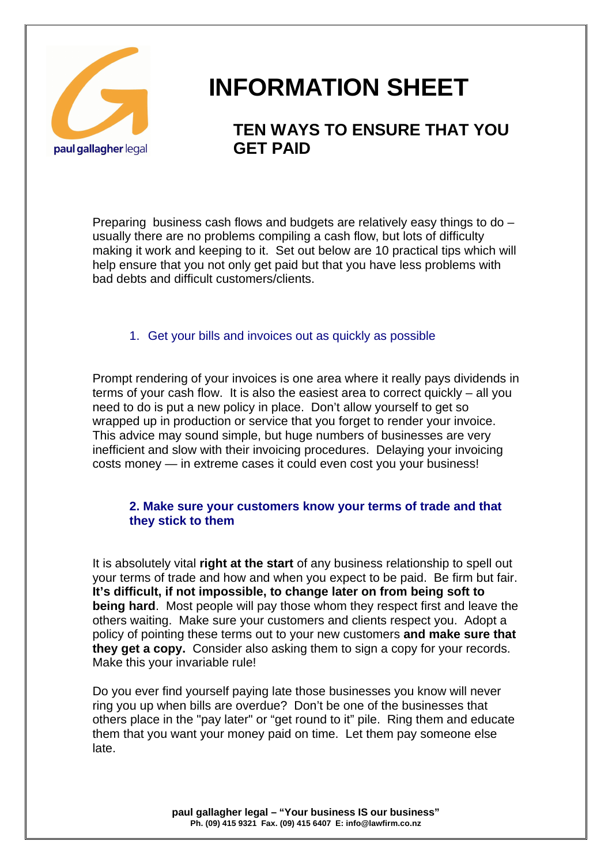

# **INFORMATION SHEET**

# **TEN WAYS TO ENSURE THAT YOU GET PAID**

Preparing business cash flows and budgets are relatively easy things to do – usually there are no problems compiling a cash flow, but lots of difficulty making it work and keeping to it. Set out below are 10 practical tips which will help ensure that you not only get paid but that you have less problems with bad debts and difficult customers/clients.

# 1. Get your bills and invoices out as quickly as possible

Prompt rendering of your invoices is one area where it really pays dividends in terms of your cash flow. It is also the easiest area to correct quickly – all you need to do is put a new policy in place. Don't allow yourself to get so wrapped up in production or service that you forget to render your invoice. This advice may sound simple, but huge numbers of businesses are very inefficient and slow with their invoicing procedures. Delaying your invoicing costs money — in extreme cases it could even cost you your business!

# **2. Make sure your customers know your terms of trade and that they stick to them**

It is absolutely vital **right at the start** of any business relationship to spell out your terms of trade and how and when you expect to be paid. Be firm but fair. **It's difficult, if not impossible, to change later on from being soft to being hard**. Most people will pay those whom they respect first and leave the others waiting. Make sure your customers and clients respect you. Adopt a policy of pointing these terms out to your new customers **and make sure that they get a copy.** Consider also asking them to sign a copy for your records. Make this your invariable rule!

Do you ever find yourself paying late those businesses you know will never ring you up when bills are overdue? Don't be one of the businesses that others place in the "pay later" or "get round to it" pile. Ring them and educate them that you want your money paid on time. Let them pay someone else late.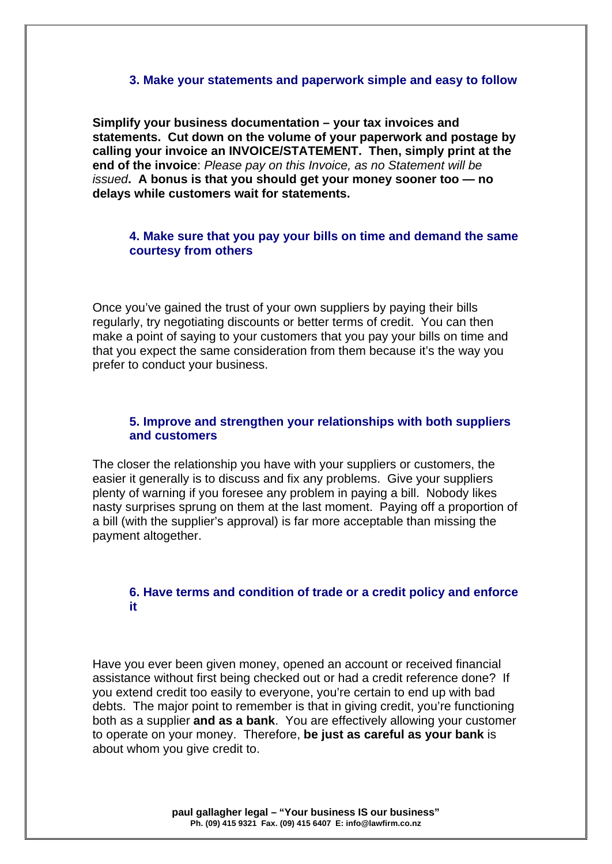#### **3. Make your statements and paperwork simple and easy to follow**

**Simplify your business documentation – your tax invoices and statements. Cut down on the volume of your paperwork and postage by calling your invoice an INVOICE/STATEMENT. Then, simply print at the end of the invoice**: *Please pay on this Invoice, as no Statement will be issued***. A bonus is that you should get your money sooner too — no delays while customers wait for statements.**

#### **4. Make sure that you pay your bills on time and demand the same courtesy from others**

Once you've gained the trust of your own suppliers by paying their bills regularly, try negotiating discounts or better terms of credit. You can then make a point of saying to your customers that you pay your bills on time and that you expect the same consideration from them because it's the way you prefer to conduct your business.

#### **5. Improve and strengthen your relationships with both suppliers and customers**

The closer the relationship you have with your suppliers or customers, the easier it generally is to discuss and fix any problems. Give your suppliers plenty of warning if you foresee any problem in paying a bill. Nobody likes nasty surprises sprung on them at the last moment. Paying off a proportion of a bill (with the supplier's approval) is far more acceptable than missing the payment altogether.

### **6. Have terms and condition of trade or a credit policy and enforce it**

Have you ever been given money, opened an account or received financial assistance without first being checked out or had a credit reference done? If you extend credit too easily to everyone, you're certain to end up with bad debts. The major point to remember is that in giving credit, you're functioning both as a supplier **and as a bank**. You are effectively allowing your customer to operate on your money. Therefore, **be just as careful as your bank** is about whom you give credit to.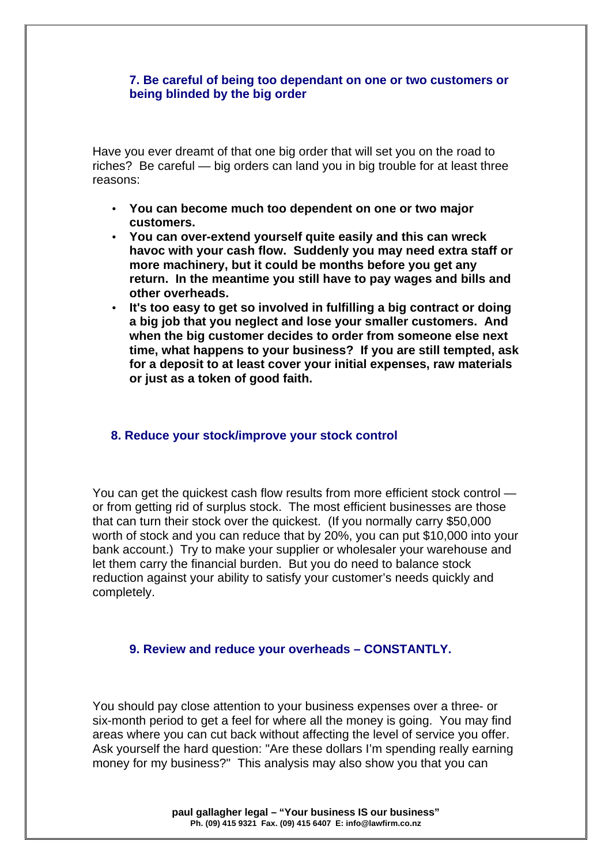#### **7. Be careful of being too dependant on one or two customers or being blinded by the big order**

Have you ever dreamt of that one big order that will set you on the road to riches? Be careful — big orders can land you in big trouble for at least three reasons:

- **You can become much too dependent on one or two major customers.**
- **You can over-extend yourself quite easily and this can wreck havoc with your cash flow. Suddenly you may need extra staff or more machinery, but it could be months before you get any return. In the meantime you still have to pay wages and bills and other overheads.**
- **It's too easy to get so involved in fulfilling a big contract or doing a big job that you neglect and lose your smaller customers. And when the big customer decides to order from someone else next time, what happens to your business? If you are still tempted, ask for a deposit to at least cover your initial expenses, raw materials or just as a token of good faith.**

#### **8. Reduce your stock/improve your stock control**

You can get the quickest cash flow results from more efficient stock control or from getting rid of surplus stock. The most efficient businesses are those that can turn their stock over the quickest. (If you normally carry \$50,000 worth of stock and you can reduce that by 20%, you can put \$10,000 into your bank account.) Try to make your supplier or wholesaler your warehouse and let them carry the financial burden. But you do need to balance stock reduction against your ability to satisfy your customer's needs quickly and completely.

#### **9. Review and reduce your overheads – CONSTANTLY.**

You should pay close attention to your business expenses over a three- or six-month period to get a feel for where all the money is going. You may find areas where you can cut back without affecting the level of service you offer. Ask yourself the hard question: "Are these dollars I'm spending really earning money for my business?" This analysis may also show you that you can